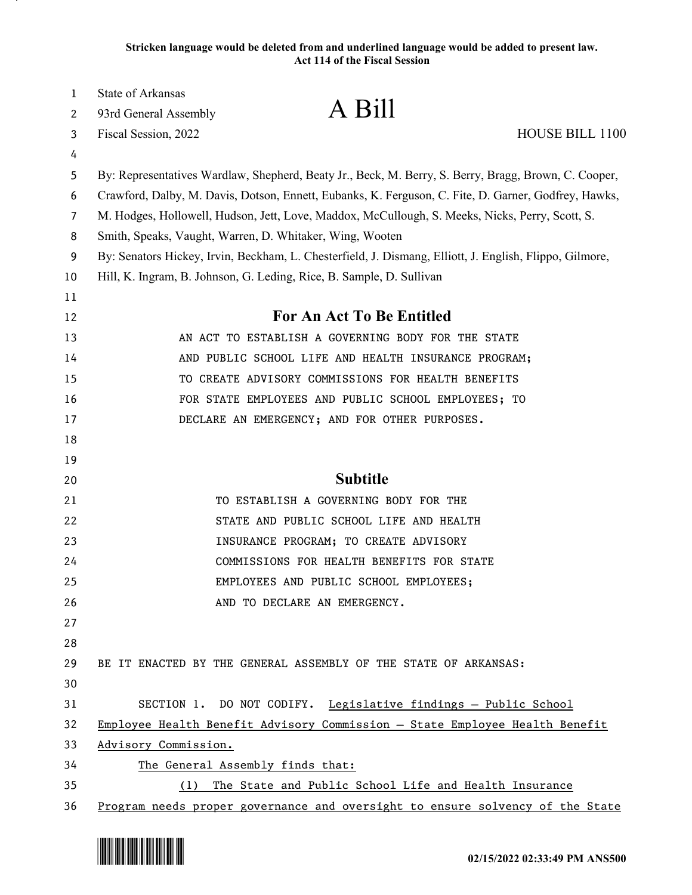| 1              | State of Arkansas                                                    |                                                                                                         |                 |
|----------------|----------------------------------------------------------------------|---------------------------------------------------------------------------------------------------------|-----------------|
| 2              | 93rd General Assembly                                                | A Bill                                                                                                  |                 |
| 3              | Fiscal Session, 2022                                                 |                                                                                                         | HOUSE BILL 1100 |
| 4              |                                                                      |                                                                                                         |                 |
| 5              |                                                                      | By: Representatives Wardlaw, Shepherd, Beaty Jr., Beck, M. Berry, S. Berry, Bragg, Brown, C. Cooper,    |                 |
| 6              |                                                                      | Crawford, Dalby, M. Davis, Dotson, Ennett, Eubanks, K. Ferguson, C. Fite, D. Garner, Godfrey, Hawks,    |                 |
| $\overline{7}$ |                                                                      | M. Hodges, Hollowell, Hudson, Jett, Love, Maddox, McCullough, S. Meeks, Nicks, Perry, Scott, S.         |                 |
| 8              | Smith, Speaks, Vaught, Warren, D. Whitaker, Wing, Wooten             |                                                                                                         |                 |
| 9              |                                                                      | By: Senators Hickey, Irvin, Beckham, L. Chesterfield, J. Dismang, Elliott, J. English, Flippo, Gilmore, |                 |
| 10             | Hill, K. Ingram, B. Johnson, G. Leding, Rice, B. Sample, D. Sullivan |                                                                                                         |                 |
| 11             |                                                                      |                                                                                                         |                 |
| 12             |                                                                      | For An Act To Be Entitled                                                                               |                 |
| 13             |                                                                      | AN ACT TO ESTABLISH A GOVERNING BODY FOR THE STATE                                                      |                 |
| 14             |                                                                      | AND PUBLIC SCHOOL LIFE AND HEALTH INSURANCE PROGRAM;                                                    |                 |
| 15             |                                                                      | TO CREATE ADVISORY COMMISSIONS FOR HEALTH BENEFITS                                                      |                 |
| 16             |                                                                      | FOR STATE EMPLOYEES AND PUBLIC SCHOOL EMPLOYEES; TO                                                     |                 |
| 17             |                                                                      | DECLARE AN EMERGENCY; AND FOR OTHER PURPOSES.                                                           |                 |
| 18             |                                                                      |                                                                                                         |                 |
| 19             |                                                                      |                                                                                                         |                 |
| 20             |                                                                      | <b>Subtitle</b>                                                                                         |                 |
| 21             |                                                                      | TO ESTABLISH A GOVERNING BODY FOR THE                                                                   |                 |
| 22             |                                                                      | STATE AND PUBLIC SCHOOL LIFE AND HEALTH                                                                 |                 |
| 23             |                                                                      | INSURANCE PROGRAM; TO CREATE ADVISORY                                                                   |                 |
| 24             |                                                                      | COMMISSIONS FOR HEALTH BENEFITS FOR STATE                                                               |                 |
| 25             |                                                                      | EMPLOYEES AND PUBLIC SCHOOL EMPLOYEES;                                                                  |                 |
| 26             |                                                                      | AND TO DECLARE AN EMERGENCY.                                                                            |                 |
| 27             |                                                                      |                                                                                                         |                 |
| 28             |                                                                      |                                                                                                         |                 |
| 29             |                                                                      | BE IT ENACTED BY THE GENERAL ASSEMBLY OF THE STATE OF ARKANSAS:                                         |                 |
| 30             |                                                                      |                                                                                                         |                 |
| 31             |                                                                      | SECTION 1. DO NOT CODIFY. Legislative findings - Public School                                          |                 |
| 32             |                                                                      | Employee Health Benefit Advisory Commission - State Employee Health Benefit                             |                 |
| 33             | Advisory Commission.                                                 |                                                                                                         |                 |
| 34             | The General Assembly finds that:                                     |                                                                                                         |                 |
| 35             | (1)                                                                  | The State and Public School Life and Health Insurance                                                   |                 |
| 36             |                                                                      | Program needs proper governance and oversight to ensure solvency of the State                           |                 |

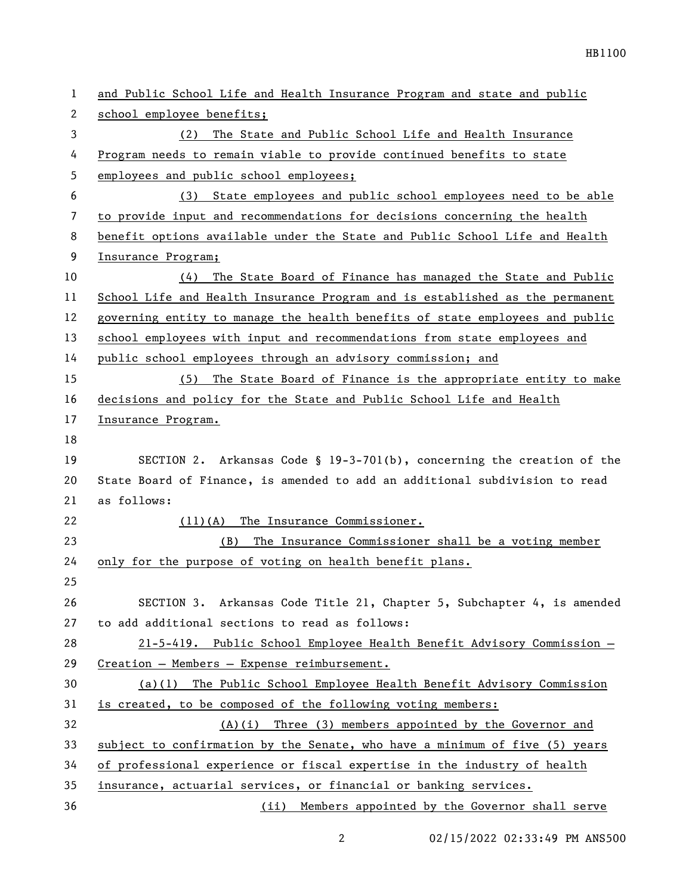| 1              | and Public School Life and Health Insurance Program and state and public     |
|----------------|------------------------------------------------------------------------------|
| 2              | school employee benefits;                                                    |
| 3              | (2)<br>The State and Public School Life and Health Insurance                 |
| 4              | Program needs to remain viable to provide continued benefits to state        |
| 5              | employees and public school employees;                                       |
| 6              | State employees and public school employees need to be able<br>(3)           |
| $\overline{7}$ | to provide input and recommendations for decisions concerning the health     |
| 8              | benefit options available under the State and Public School Life and Health  |
| 9              | Insurance Program;                                                           |
| 10             | The State Board of Finance has managed the State and Public<br>(4)           |
| 11             | School Life and Health Insurance Program and is established as the permanent |
| 12             | governing entity to manage the health benefits of state employees and public |
| 13             | school employees with input and recommendations from state employees and     |
| 14             | public school employees through an advisory commission; and                  |
| 15             | (5) The State Board of Finance is the appropriate entity to make             |
| 16             | decisions and policy for the State and Public School Life and Health         |
| 17             | Insurance Program.                                                           |
| 18             |                                                                              |
| 19             | SECTION 2. Arkansas Code § $19-3-701(b)$ , concerning the creation of the    |
| 20             | State Board of Finance, is amended to add an additional subdivision to read  |
| 21             | as follows:                                                                  |
| 22             | (11)(A) The Insurance Commissioner.                                          |
| 23             | (B)<br>The Insurance Commissioner shall be a voting member                   |
| 24             | only for the purpose of voting on health benefit plans.                      |
| 25             |                                                                              |
| 26             | SECTION 3. Arkansas Code Title 21, Chapter 5, Subchapter 4, is amended       |
| 27             | to add additional sections to read as follows:                               |
| 28             | 21-5-419. Public School Employee Health Benefit Advisory Commission -        |
| 29             | Creation - Members - Expense reimbursement.                                  |
| 30             | (a)(1) The Public School Employee Health Benefit Advisory Commission         |
| 31             | is created, to be composed of the following voting members:                  |
| 32             | $(A)(i)$ Three (3) members appointed by the Governor and                     |
| 33             | subject to confirmation by the Senate, who have a minimum of five (5) years  |
| 34             | of professional experience or fiscal expertise in the industry of health     |
| 35             | insurance, actuarial services, or financial or banking services.             |
| 36             | (ii) Members appointed by the Governor shall serve                           |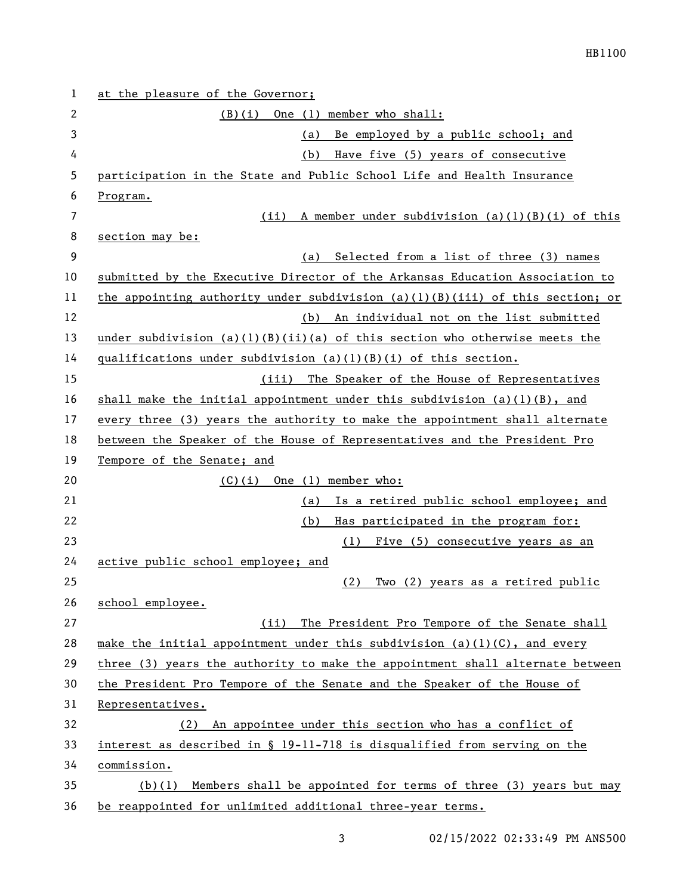| 1  | at the pleasure of the Governor;                                                |
|----|---------------------------------------------------------------------------------|
| 2  | One (1) member who shall:<br>(B)(i)                                             |
| 3  | Be employed by a public school; and<br>(a)                                      |
| 4  | Have five (5) years of consecutive<br>(b)                                       |
| 5  | participation in the State and Public School Life and Health Insurance          |
| 6  | Program.                                                                        |
| 7  | A member under subdivision $(a)(1)(B)(i)$ of this<br>(iii)                      |
| 8  | section may be:                                                                 |
| 9  | Selected from a list of three (3) names<br>(a)                                  |
| 10 | submitted by the Executive Director of the Arkansas Education Association to    |
| 11 | the appointing authority under subdivision $(a)(1)(B)(iii)$ of this section; or |
| 12 | (b) An individual not on the list submitted                                     |
| 13 | under subdivision $(a)(1)(B)(ii)(a)$ of this section who otherwise meets the    |
| 14 | qualifications under subdivision $(a)(1)(B)(i)$ of this section.                |
| 15 | (iii) The Speaker of the House of Representatives                               |
| 16 | shall make the initial appointment under this subdivision $(a)(1)(B)$ , and     |
| 17 | every three (3) years the authority to make the appointment shall alternate     |
| 18 | between the Speaker of the House of Representatives and the President Pro       |
| 19 | Tempore of the Senate; and                                                      |
| 20 | $(C)(i)$ One $(l)$ member who:                                                  |
| 21 | Is a retired public school employee; and<br>(a)                                 |
| 22 | Has participated in the program for:<br>(b)                                     |
| 23 | (1)<br>Five (5) consecutive years as an                                         |
| 24 | active public school employee; and                                              |
| 25 | Two (2) years as a retired public<br>(2)                                        |
| 26 | school employee.                                                                |
| 27 | The President Pro Tempore of the Senate shall<br>(iii)                          |
| 28 | make the initial appointment under this subdivision $(a)(1)(C)$ , and every     |
| 29 | three (3) years the authority to make the appointment shall alternate between   |
| 30 | the President Pro Tempore of the Senate and the Speaker of the House of         |
| 31 | Representatives.                                                                |
| 32 | (2) An appointee under this section who has a conflict of                       |
| 33 | interest as described in § 19-11-718 is disqualified from serving on the        |
| 34 | commission.                                                                     |
| 35 | Members shall be appointed for terms of three (3) years but may<br>(b)(1)       |
| 36 | be reappointed for unlimited additional three-year terms.                       |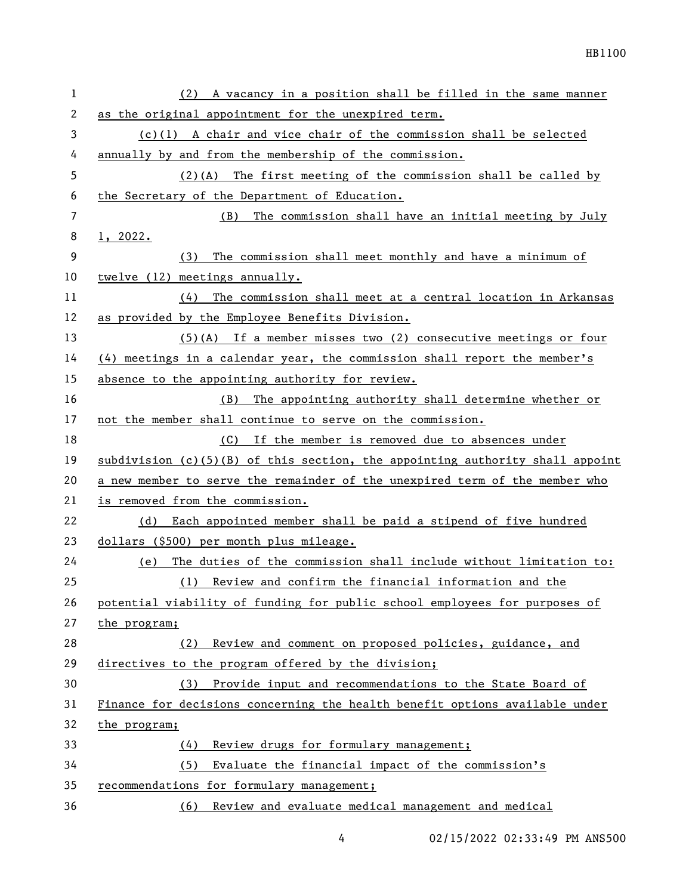| $\mathbf{1}$ | (2) A vacancy in a position shall be filled in the same manner                |  |
|--------------|-------------------------------------------------------------------------------|--|
| 2            | as the original appointment for the unexpired term.                           |  |
| 3            | $(c)(1)$ A chair and vice chair of the commission shall be selected           |  |
| 4            | annually by and from the membership of the commission.                        |  |
| 5            | $(2)(A)$ The first meeting of the commission shall be called by               |  |
| 6            | the Secretary of the Department of Education.                                 |  |
| 7            | (B) The commission shall have an initial meeting by July                      |  |
| 8            | 1, 2022.                                                                      |  |
| 9            | The commission shall meet monthly and have a minimum of<br>(3)                |  |
| 10           | twelve (12) meetings annually.                                                |  |
| 11           | $(4)$ The commission shall meet at a central location in Arkansas             |  |
| 12           | as provided by the Employee Benefits Division.                                |  |
| 13           | $(5)$ (A) If a member misses two (2) consecutive meetings or four             |  |
| 14           | $(4)$ meetings in a calendar year, the commission shall report the member's   |  |
| 15           | absence to the appointing authority for review.                               |  |
| 16           | The appointing authority shall determine whether or<br>(B)                    |  |
| 17           | not the member shall continue to serve on the commission.                     |  |
| 18           | (C) If the member is removed due to absences under                            |  |
| 19           | subdivision (c)(5)(B) of this section, the appointing authority shall appoint |  |
| 20           | a new member to serve the remainder of the unexpired term of the member who   |  |
| 21           | is removed from the commission.                                               |  |
| 22           | (d) Each appointed member shall be paid a stipend of five hundred             |  |
| 23           | dollars (\$500) per month plus mileage.                                       |  |
| 24           | The duties of the commission shall include without limitation to:<br>(e)      |  |
| 25           | (1) Review and confirm the financial information and the                      |  |
| 26           | potential viability of funding for public school employees for purposes of    |  |
| 27           | the program;                                                                  |  |
| 28           | Review and comment on proposed policies, guidance, and<br>(2)                 |  |
| 29           | directives to the program offered by the division;                            |  |
| 30           | (3) Provide input and recommendations to the State Board of                   |  |
| 31           | Finance for decisions concerning the health benefit options available under   |  |
| 32           | the program;                                                                  |  |
| 33           | Review drugs for formulary management;<br>(4)                                 |  |
| 34           | (5)<br>Evaluate the financial impact of the commission's                      |  |
| 35           | recommendations for formulary management;                                     |  |
| 36           | (6) Review and evaluate medical management and medical                        |  |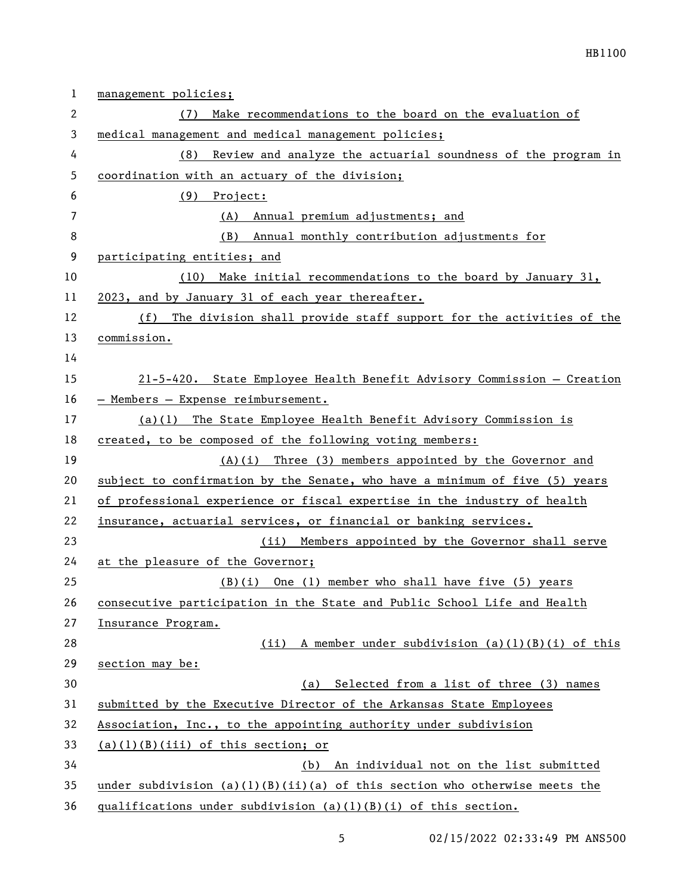| 1              | management policies;                                                         |
|----------------|------------------------------------------------------------------------------|
| 2              | Make recommendations to the board on the evaluation of<br>(7)                |
| 3              | medical management and medical management policies;                          |
| 4              | Review and analyze the actuarial soundness of the program in<br>(8)          |
| 5              | coordination with an actuary of the division;                                |
| 6              | $(9)$ Project:                                                               |
| $\overline{7}$ | (A) Annual premium adjustments; and                                          |
| 8              | Annual monthly contribution adjustments for<br>(B)                           |
| 9              | participating entities; and                                                  |
| 10             | (10) Make initial recommendations to the board by January 31,                |
| 11             | 2023, and by January 31 of each year thereafter.                             |
| 12             | (f) The division shall provide staff support for the activities of the       |
| 13             | commission.                                                                  |
| 14             |                                                                              |
| 15             | 21-5-420. State Employee Health Benefit Advisory Commission - Creation       |
| 16             | - Members - Expense reimbursement.                                           |
| 17             | (a)(1) The State Employee Health Benefit Advisory Commission is              |
| 18             | created, to be composed of the following voting members:                     |
| 19             | $(A)(i)$ Three (3) members appointed by the Governor and                     |
| 20             | subject to confirmation by the Senate, who have a minimum of five (5) years  |
| 21             | of professional experience or fiscal expertise in the industry of health     |
| 22             | insurance, actuarial services, or financial or banking services.             |
| 23             | (ii) Members appointed by the Governor shall serve                           |
| 24             | at the pleasure of the Governor;                                             |
| 25             | (B)(i) One (1) member who shall have five (5) years                          |
| 26             | consecutive participation in the State and Public School Life and Health     |
| 27             | Insurance Program.                                                           |
| 28             | A member under subdivision (a)(l)(B)(i) of this<br>(ii)                      |
| 29             | section may be:                                                              |
| 30             | (a) Selected from a list of three (3) names                                  |
| 31             | submitted by the Executive Director of the Arkansas State Employees          |
| 32             | Association, Inc., to the appointing authority under subdivision             |
| 33             | $(a)(1)(B)(iii)$ of this section; or                                         |
| 34             | (b) An individual not on the list submitted                                  |
| 35             | under subdivision $(a)(1)(B)(ii)(a)$ of this section who otherwise meets the |
| 36             | qualifications under subdivision $(a)(1)(B)(i)$ of this section.             |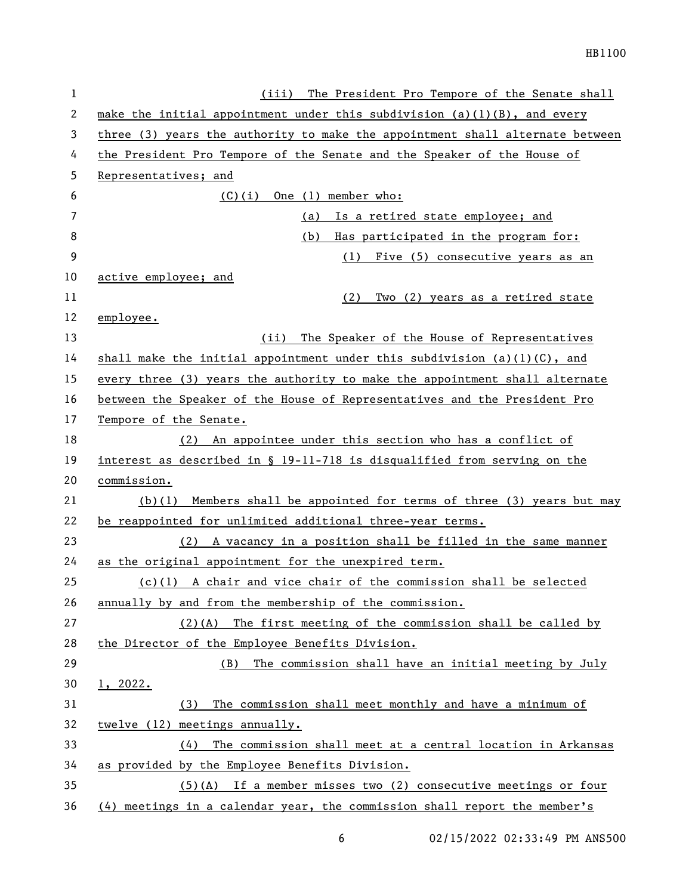| 1  | (iii) The President Pro Tempore of the Senate shall                           |
|----|-------------------------------------------------------------------------------|
| 2  | make the initial appointment under this subdivision $(a)(1)(B)$ , and every   |
| 3  | three (3) years the authority to make the appointment shall alternate between |
| 4  | the President Pro Tempore of the Senate and the Speaker of the House of       |
| 5  | Representatives; and                                                          |
| 6  | One (1) member who:<br>(C)(i)                                                 |
| 7  | Is a retired state employee; and<br>(a)                                       |
| 8  | (b)<br>Has participated in the program for:                                   |
| 9  | Five (5) consecutive years as an<br>(1)                                       |
| 10 | active employee; and                                                          |
| 11 | (2)<br>Two (2) years as a retired state                                       |
| 12 | employee.                                                                     |
| 13 | The Speaker of the House of Representatives<br>(iii)                          |
| 14 | shall make the initial appointment under this subdivision $(a)(1)(C)$ , and   |
| 15 | every three (3) years the authority to make the appointment shall alternate   |
| 16 | between the Speaker of the House of Representatives and the President Pro     |
| 17 | Tempore of the Senate.                                                        |
| 18 | (2) An appointee under this section who has a conflict of                     |
| 19 | interest as described in § 19-11-718 is disqualified from serving on the      |
| 20 | commission.                                                                   |
| 21 | $(b)(1)$ Members shall be appointed for terms of three (3) years but may      |
| 22 | be reappointed for unlimited additional three-year terms.                     |
| 23 | (2) A vacancy in a position shall be filled in the same manner                |
| 24 | as the original appointment for the unexpired term.                           |
| 25 | $(c)(1)$ A chair and vice chair of the commission shall be selected           |
| 26 | annually by and from the membership of the commission.                        |
| 27 | $(2)$ (A) The first meeting of the commission shall be called by              |
| 28 | the Director of the Employee Benefits Division.                               |
| 29 | The commission shall have an initial meeting by July<br>(B)                   |
| 30 | 1, 2022.                                                                      |
| 31 | The commission shall meet monthly and have a minimum of<br>(3)                |
| 32 | twelve (12) meetings annually.                                                |
| 33 | The commission shall meet at a central location in Arkansas<br>(4)            |
| 34 | as provided by the Employee Benefits Division.                                |
| 35 | $(5)$ (A) If a member misses two (2) consecutive meetings or four             |
| 36 | $(4)$ meetings in a calendar year, the commission shall report the member's   |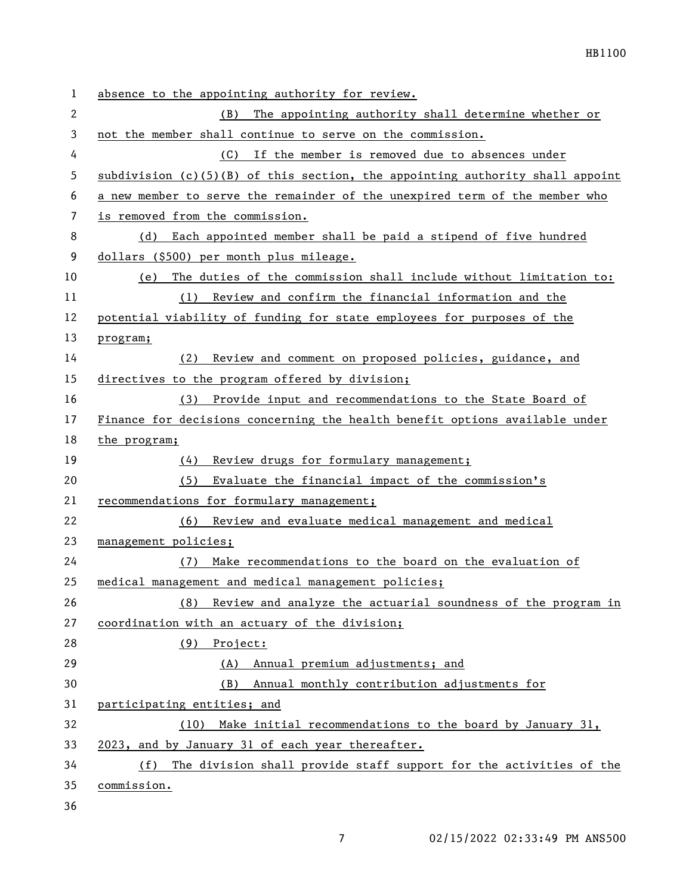| 1              | absence to the appointing authority for review.                                 |  |
|----------------|---------------------------------------------------------------------------------|--|
| $\overline{2}$ | The appointing authority shall determine whether or<br>(B)                      |  |
| 3              | not the member shall continue to serve on the commission.                       |  |
| 4              | (C) If the member is removed due to absences under                              |  |
| 5              | subdivision $(c)(5)(B)$ of this section, the appointing authority shall appoint |  |
| 6              | a new member to serve the remainder of the unexpired term of the member who     |  |
| 7              | is removed from the commission.                                                 |  |
| 8              | Each appointed member shall be paid a stipend of five hundred<br>(d)            |  |
| 9              | dollars (\$500) per month plus mileage.                                         |  |
| 10             | The duties of the commission shall include without limitation to:<br>(e)        |  |
| 11             | Review and confirm the financial information and the<br>(1)                     |  |
| 12             | potential viability of funding for state employees for purposes of the          |  |
| 13             | program;                                                                        |  |
| 14             | Review and comment on proposed policies, guidance, and<br>(2)                   |  |
| 15             | directives to the program offered by division;                                  |  |
| 16             | (3) Provide input and recommendations to the State Board of                     |  |
| 17             | Finance for decisions concerning the health benefit options available under     |  |
| 18             | the program;                                                                    |  |
| 19             | Review drugs for formulary management;<br>(4)                                   |  |
| 20             | Evaluate the financial impact of the commission's<br>(5)                        |  |
| 21             | recommendations for formulary management;                                       |  |
| 22             | (6) Review and evaluate medical management and medical                          |  |
| 23             | management policies;                                                            |  |
| 24             | Make recommendations to the board on the evaluation of<br>(7)                   |  |
| 25             | medical management and medical management policies;                             |  |
| 26             | (8) Review and analyze the actuarial soundness of the program in                |  |
| 27             | coordination with an actuary of the division;                                   |  |
| 28             | (9) Project:                                                                    |  |
| 29             | (A) Annual premium adjustments; and                                             |  |
| 30             | (B) Annual monthly contribution adjustments for                                 |  |
| 31             | participating entities; and                                                     |  |
| 32             | (10) Make initial recommendations to the board by January 31,                   |  |
| 33             | 2023, and by January 31 of each year thereafter.                                |  |
| 34             | The division shall provide staff support for the activities of the<br>(f)       |  |
| 35             | commission.                                                                     |  |
| 36             |                                                                                 |  |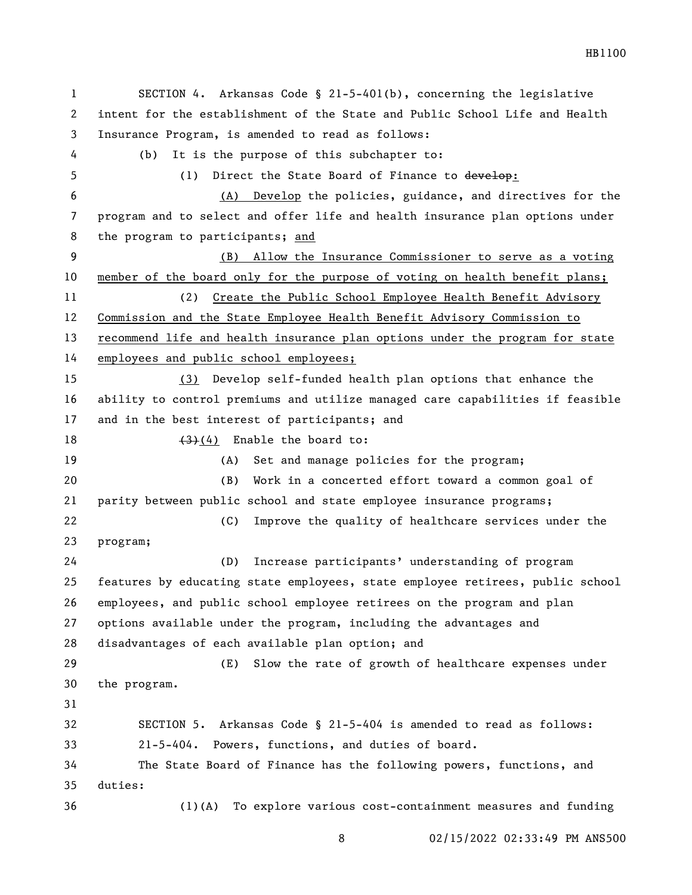SECTION 4. Arkansas Code § 21-5-401(b), concerning the legislative intent for the establishment of the State and Public School Life and Health Insurance Program, is amended to read as follows: (b) It is the purpose of this subchapter to: 5 (1) Direct the State Board of Finance to develop: (A) Develop the policies, guidance, and directives for the program and to select and offer life and health insurance plan options under the program to participants; and (B) Allow the Insurance Commissioner to serve as a voting member of the board only for the purpose of voting on health benefit plans; (2) Create the Public School Employee Health Benefit Advisory Commission and the State Employee Health Benefit Advisory Commission to recommend life and health insurance plan options under the program for state employees and public school employees; (3) Develop self-funded health plan options that enhance the ability to control premiums and utilize managed care capabilities if feasible and in the best interest of participants; and  $(3)(4)$  Enable the board to: (A) Set and manage policies for the program; (B) Work in a concerted effort toward a common goal of parity between public school and state employee insurance programs; (C) Improve the quality of healthcare services under the program; (D) Increase participants' understanding of program features by educating state employees, state employee retirees, public school employees, and public school employee retirees on the program and plan options available under the program, including the advantages and disadvantages of each available plan option; and (E) Slow the rate of growth of healthcare expenses under the program. SECTION 5. Arkansas Code § 21-5-404 is amended to read as follows: 21-5-404. Powers, functions, and duties of board. The State Board of Finance has the following powers, functions, and duties: (1)(A) To explore various cost-containment measures and funding

02/15/2022 02:33:49 PM ANS500

HB1100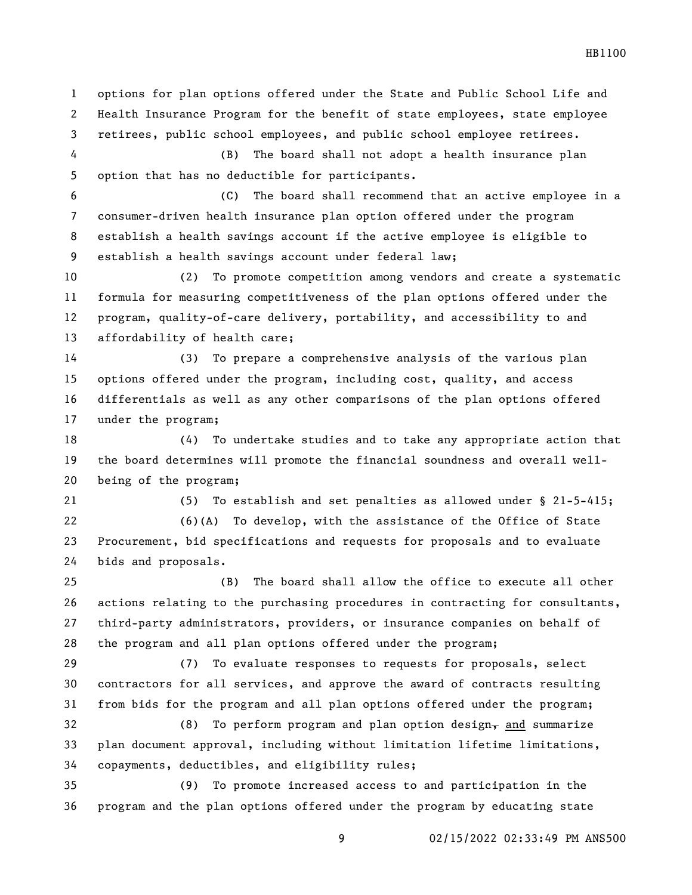Health Insurance Program for the benefit of state employees, state employee retirees, public school employees, and public school employee retirees. (B) The board shall not adopt a health insurance plan option that has no deductible for participants. (C) The board shall recommend that an active employee in a consumer-driven health insurance plan option offered under the program establish a health savings account if the active employee is eligible to establish a health savings account under federal law; (2) To promote competition among vendors and create a systematic formula for measuring competitiveness of the plan options offered under the program, quality-of-care delivery, portability, and accessibility to and affordability of health care; (3) To prepare a comprehensive analysis of the various plan options offered under the program, including cost, quality, and access differentials as well as any other comparisons of the plan options offered under the program; (4) To undertake studies and to take any appropriate action that the board determines will promote the financial soundness and overall well- being of the program; (5) To establish and set penalties as allowed under § 21-5-415; (6)(A) To develop, with the assistance of the Office of State Procurement, bid specifications and requests for proposals and to evaluate bids and proposals. (B) The board shall allow the office to execute all other actions relating to the purchasing procedures in contracting for consultants, third-party administrators, providers, or insurance companies on behalf of the program and all plan options offered under the program; (7) To evaluate responses to requests for proposals, select contractors for all services, and approve the award of contracts resulting from bids for the program and all plan options offered under the program; 32 (8) To perform program and plan option design, and summarize plan document approval, including without limitation lifetime limitations, copayments, deductibles, and eligibility rules; (9) To promote increased access to and participation in the program and the plan options offered under the program by educating state

options for plan options offered under the State and Public School Life and

HB1100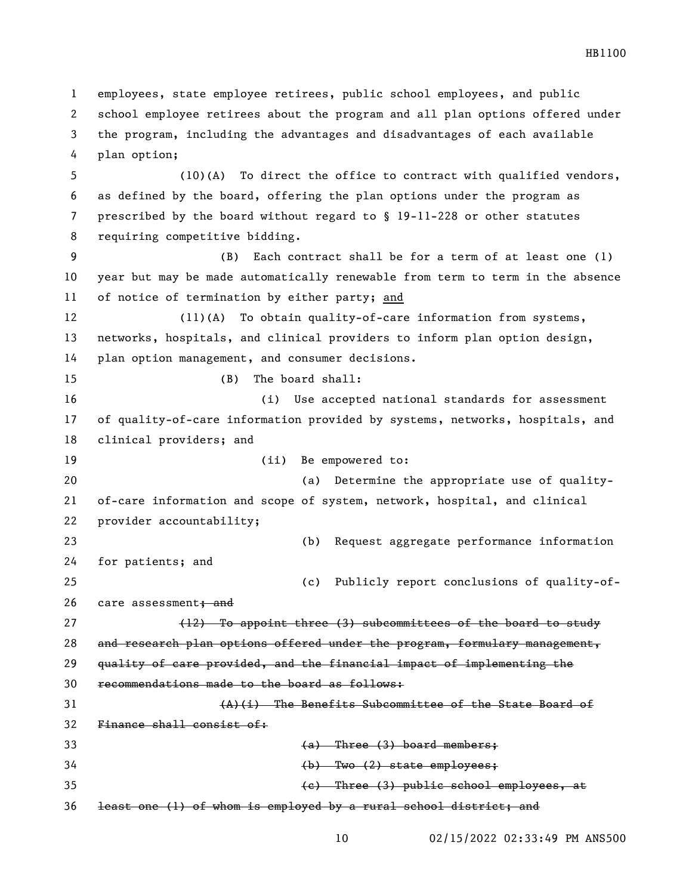employees, state employee retirees, public school employees, and public school employee retirees about the program and all plan options offered under the program, including the advantages and disadvantages of each available plan option; (10)(A) To direct the office to contract with qualified vendors, as defined by the board, offering the plan options under the program as prescribed by the board without regard to § 19-11-228 or other statutes requiring competitive bidding. (B) Each contract shall be for a term of at least one (1) year but may be made automatically renewable from term to term in the absence of notice of termination by either party; and (11)(A) To obtain quality-of-care information from systems, networks, hospitals, and clinical providers to inform plan option design, plan option management, and consumer decisions. (B) The board shall: (i) Use accepted national standards for assessment of quality-of-care information provided by systems, networks, hospitals, and clinical providers; and 19 (ii) Be empowered to: (a) Determine the appropriate use of quality- of-care information and scope of system, network, hospital, and clinical provider accountability; (b) Request aggregate performance information for patients; and (c) Publicly report conclusions of quality-of-26 care assessment+ and 27 (12) To appoint three (3) subcommittees of the board to study and research plan options offered under the program, formulary management, quality of care provided, and the financial impact of implementing the recommendations made to the board as follows:  $(A)$ (i) The Benefits Subcommittee of the State Board of Finance shall consist of: (a) Three (3) board members; (b) Two (2) state employees; (c) Three (3) public school employees, at least one (1) of whom is employed by a rural school district; and

HB1100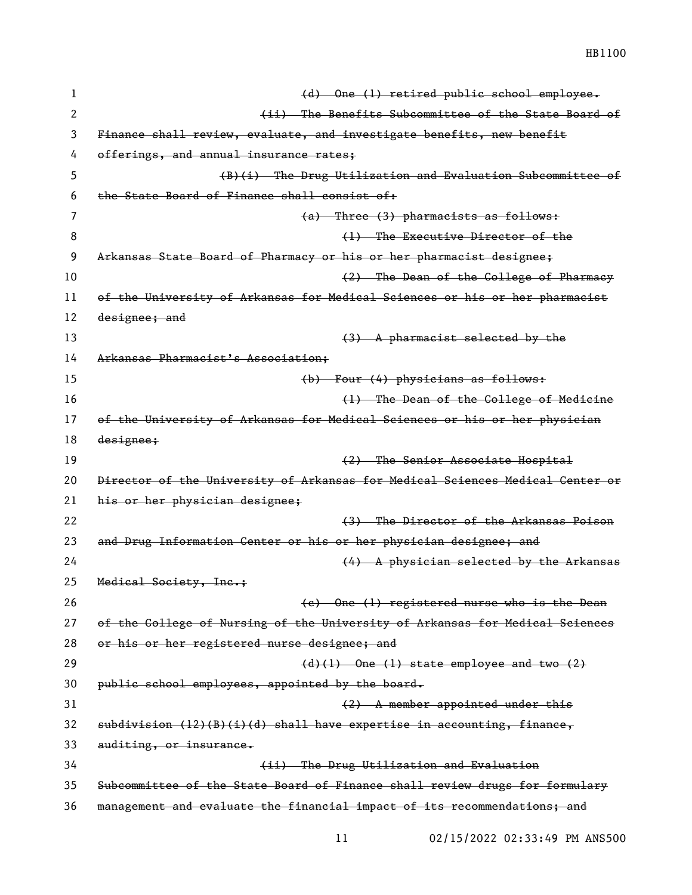HB1100

| 1  | (d) One (l) retired public school employee.                                   |
|----|-------------------------------------------------------------------------------|
| 2  | (ii) The Benefits Subcommittee of the State Board of                          |
| 3  | Finance shall review, evaluate, and investigate benefits, new benefit         |
| 4  | offerings, and annual insurance rates;                                        |
| 5  | (B)(i) The Drug Utilization and Evaluation Subcommittee of                    |
| 6  | the State Board of Finance shall consist of:                                  |
| 7  | (a) Three (3) pharmacists as follows:                                         |
| 8  | (1) The Executive Director of the                                             |
| 9  | Arkansas State Board of Pharmacy or his or her pharmacist designee;           |
| 10 | (2) The Dean of the College of Pharmacy                                       |
| 11 | of the University of Arkansas for Medical Sciences or his or her pharmacist   |
| 12 | designee; and                                                                 |
| 13 | $(3)$ A pharmacist selected by the                                            |
| 14 | Arkansas Pharmacist's Association;                                            |
| 15 | (b) Four (4) physicians as follows:                                           |
| 16 | (1) The Dean of the College of Medicine                                       |
| 17 | of the University of Arkansas for Medical Sciences or his or her physician    |
| 18 | designee;                                                                     |
| 19 | (2) The Senior Associate Hospital                                             |
| 20 | Director of the University of Arkansas for Medical Sciences Medical Center or |
| 21 | his or her physician designee;                                                |
| 22 | (3) The Director of the Arkansas Poison                                       |
| 23 | and Drug Information Center or his or her physician designee; and             |
| 24 | (4) A physician selected by the Arkansas                                      |
| 25 | Medical Society, Inc.;                                                        |
| 26 | (e) One (1) registered nurse who is the Dean                                  |
| 27 | of the College of Nursing of the University of Arkansas for Medical Sciences  |
| 28 | or his or her registered nurse designee; and                                  |
| 29 | $(d)$ (1) One (1) state employee and two (2)                                  |
| 30 | public school employees, appointed by the board.                              |
| 31 | (2) A member appointed under this                                             |
| 32 | $subdivision$ (12)(B)(i)(d) shall have expertise in accounting, finance,      |
| 33 | auditing, or insurance.                                                       |
| 34 | (ii) The Drug Utilization and Evaluation                                      |
| 35 | Subcommittee of the State Board of Finance shall review drugs for formulary   |
| 36 | management and evaluate the financial impact of its recommendations; and      |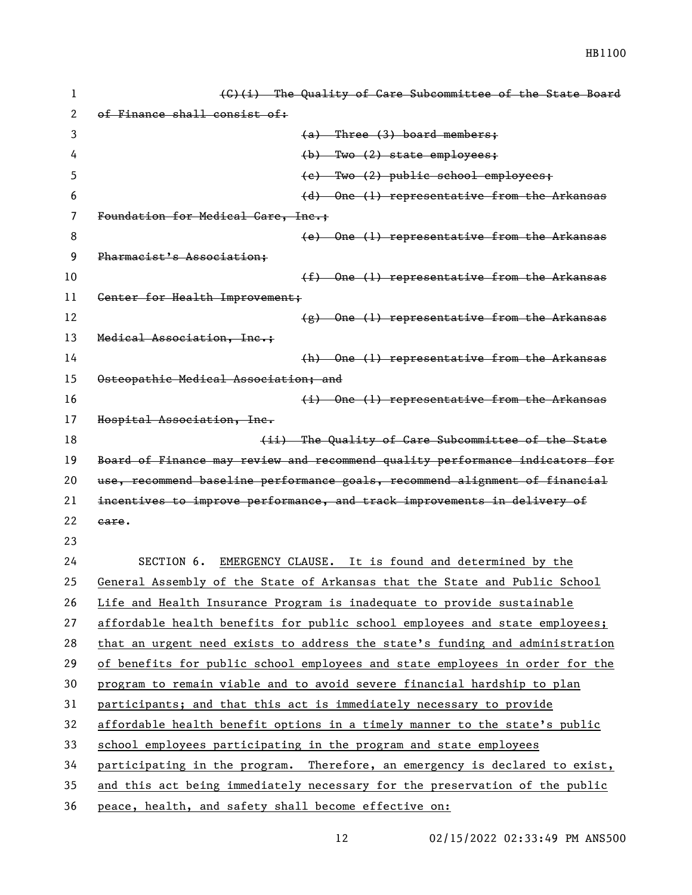| 1  | (G)(i) The Quality of Care Subcommittee of the State Board                   |
|----|------------------------------------------------------------------------------|
| 2  | of Finance shall consist of:                                                 |
| 3  | $(a)$ Three $(3)$ board members;                                             |
| 4  | $(b)$ Two $(2)$ state employees;                                             |
| 5  | (e) Two (2) public school employees;                                         |
| 6  | $(d)$ One $(l)$ representative from the Arkansas                             |
| 7  | Foundation for Medical Care, Inc.;                                           |
| 8  | (e) One (1) representative from the Arkansas                                 |
| 9  | Pharmacist's Association;                                                    |
| 10 | $(f)$ One (1) representative from the Arkansas                               |
| 11 | Genter for Health Improvement;                                               |
| 12 | $(g)$ One (1) representative from the Arkansas                               |
| 13 | Medical Association, Inc.;                                                   |
| 14 | (h) One (1) representative from the Arkansas                                 |
| 15 | Osteopathic Medical Association; and                                         |
| 16 | $(i)$ One (1) representative from the Arkansas                               |
| 17 | Hospital Association, Inc.                                                   |
| 18 | (ii) The Quality of Care Subcommittee of the State                           |
| 19 | Board of Finance may review and recommend quality performance indicators for |
| 20 | use, recommend baseline performance goals, recommend alignment of financial  |
| 21 | incentives to improve performance, and track improvements in delivery of     |
| 22 | eare.                                                                        |
| 23 |                                                                              |
| 24 | EMERGENCY CLAUSE. It is found and determined by the<br>SECTION 6.            |
| 25 | General Assembly of the State of Arkansas that the State and Public School   |
| 26 | Life and Health Insurance Program is inadequate to provide sustainable       |
| 27 | affordable health benefits for public school employees and state employees;  |
| 28 | that an urgent need exists to address the state's funding and administration |
| 29 | of benefits for public school employees and state employees in order for the |
| 30 | program to remain viable and to avoid severe financial hardship to plan      |
| 31 | participants; and that this act is immediately necessary to provide          |
| 32 | affordable health benefit options in a timely manner to the state's public   |
| 33 | school employees participating in the program and state employees            |
| 34 | participating in the program. Therefore, an emergency is declared to exist,  |
| 35 | and this act being immediately necessary for the preservation of the public  |
| 36 | peace, health, and safety shall become effective on:                         |